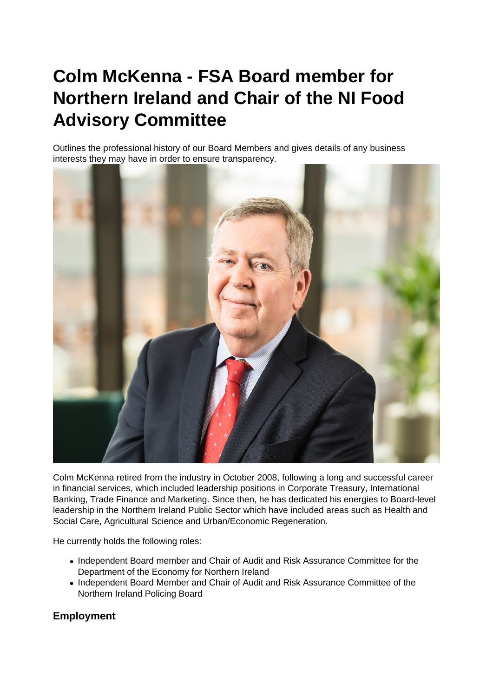# **Colm McKenna - FSA Board member for Northern Ireland and Chair of the NI Food Advisory Committee**

Outlines the professional history of our Board Members and gives details of any business interests they may have in order to ensure transparency.



Colm McKenna retired from the industry in October 2008, following a long and successful career in financial services, which included leadership positions in Corporate Treasury, International Banking, Trade Finance and Marketing. Since then, he has dedicated his energies to Board-level leadership in the Northern Ireland Public Sector which have included areas such as Health and Social Care, Agricultural Science and Urban/Economic Regeneration.

He currently holds the following roles:

- Independent Board member and Chair of Audit and Risk Assurance Committee for the Department of the Economy for Northern Ireland
- Independent Board Member and Chair of Audit and Risk Assurance Committee of the Northern Ireland Policing Board

## **Employment**